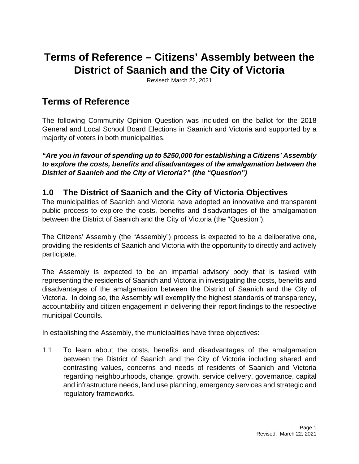# **Terms of Reference – Citizens' Assembly between the District of Saanich and the City of Victoria**

Revised: March 22, 2021

# **Terms of Reference**

The following Community Opinion Question was included on the ballot for the 2018 General and Local School Board Elections in Saanich and Victoria and supported by a majority of voters in both municipalities.

*"Are you in favour of spending up to \$250,000 for establishing a Citizens' Assembly to explore the costs, benefits and disadvantages of the amalgamation between the District of Saanich and the City of Victoria?" (the "Question")* 

## **1.0 The District of Saanich and the City of Victoria Objectives**

The municipalities of Saanich and Victoria have adopted an innovative and transparent public process to explore the costs, benefits and disadvantages of the amalgamation between the District of Saanich and the City of Victoria (the "Question").

The Citizens' Assembly (the "Assembly") process is expected to be a deliberative one, providing the residents of Saanich and Victoria with the opportunity to directly and actively participate.

The Assembly is expected to be an impartial advisory body that is tasked with representing the residents of Saanich and Victoria in investigating the costs, benefits and disadvantages of the amalgamation between the District of Saanich and the City of Victoria. In doing so, the Assembly will exemplify the highest standards of transparency, accountability and citizen engagement in delivering their report findings to the respective municipal Councils.

In establishing the Assembly, the municipalities have three objectives:

1.1 To learn about the costs, benefits and disadvantages of the amalgamation between the District of Saanich and the City of Victoria including shared and contrasting values, concerns and needs of residents of Saanich and Victoria regarding neighbourhoods, change, growth, service delivery, governance, capital and infrastructure needs, land use planning, emergency services and strategic and regulatory frameworks.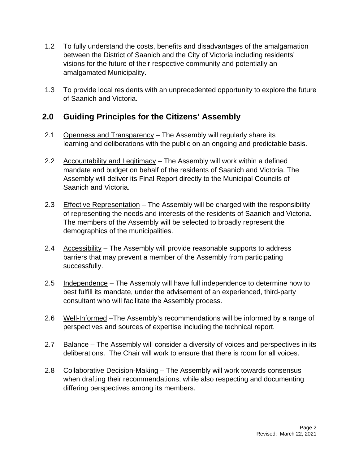- 1.2 To fully understand the costs, benefits and disadvantages of the amalgamation between the District of Saanich and the City of Victoria including residents' visions for the future of their respective community and potentially an amalgamated Municipality.
- 1.3 To provide local residents with an unprecedented opportunity to explore the future of Saanich and Victoria.

## **2.0 Guiding Principles for the Citizens' Assembly**

- 2.1Openness and Transparency The Assembly will regularly share its learning and deliberations with the public on an ongoing and predictable basis.
- 2.2 Accountability and Legitimacy The Assembly will work within a defined mandate and budget on behalf of the residents of Saanich and Victoria. The Assembly will deliver its Final Report directly to the Municipal Councils of Saanich and Victoria.
- 2.3 Effective Representation The Assembly will be charged with the responsibility of representing the needs and interests of the residents of Saanich and Victoria. The members of the Assembly will be selected to broadly represent the demographics of the municipalities.
- 2.4 Accessibility The Assembly will provide reasonable supports to address barriers that may prevent a member of the Assembly from participating successfully.
- 2.5 Independence The Assembly will have full independence to determine how to best fulfill its mandate, under the advisement of an experienced, third-party consultant who will facilitate the Assembly process.
- 2.6 Well-Informed –The Assembly's recommendations will be informed by a range of perspectives and sources of expertise including the technical report.
- 2.7 Balance The Assembly will consider a diversity of voices and perspectives in its deliberations. The Chair will work to ensure that there is room for all voices.
- 2.8 Collaborative Decision-Making The Assembly will work towards consensus when drafting their recommendations, while also respecting and documenting differing perspectives among its members.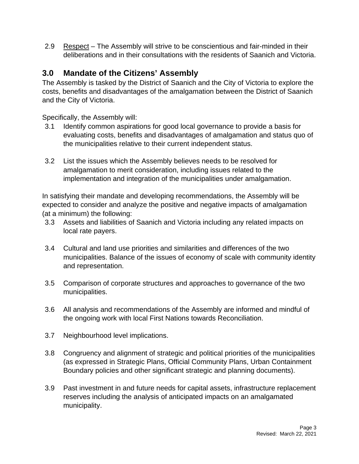2.9 Respect – The Assembly will strive to be conscientious and fair-minded in their deliberations and in their consultations with the residents of Saanich and Victoria.

# **3.0 Mandate of the Citizens' Assembly**

The Assembly is tasked by the District of Saanich and the City of Victoria to explore the costs, benefits and disadvantages of the amalgamation between the District of Saanich and the City of Victoria.

Specifically, the Assembly will:

- 3.1 Identify common aspirations for good local governance to provide a basis for evaluating costs, benefits and disadvantages of amalgamation and status quo of the municipalities relative to their current independent status.
- 3.2 List the issues which the Assembly believes needs to be resolved for amalgamation to merit consideration, including issues related to the implementation and integration of the municipalities under amalgamation.

In satisfying their mandate and developing recommendations, the Assembly will be expected to consider and analyze the positive and negative impacts of amalgamation (at a minimum) the following:

- 3.3 Assets and liabilities of Saanich and Victoria including any related impacts on local rate payers.
- 3.4 Cultural and land use priorities and similarities and differences of the two municipalities. Balance of the issues of economy of scale with community identity and representation.
- 3.5 Comparison of corporate structures and approaches to governance of the two municipalities.
- 3.6 All analysis and recommendations of the Assembly are informed and mindful of the ongoing work with local First Nations towards Reconciliation.
- 3.7 Neighbourhood level implications.
- 3.8 Congruency and alignment of strategic and political priorities of the municipalities (as expressed in Strategic Plans, Official Community Plans, Urban Containment Boundary policies and other significant strategic and planning documents).
- 3.9 Past investment in and future needs for capital assets, infrastructure replacement reserves including the analysis of anticipated impacts on an amalgamated municipality.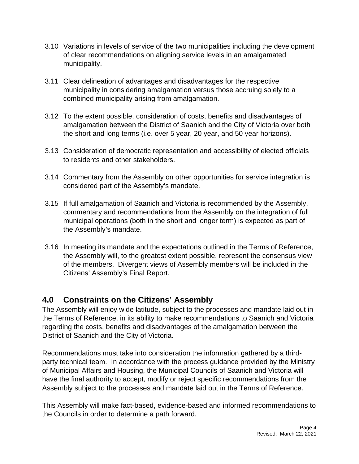- 3.10 Variations in levels of service of the two municipalities including the development of clear recommendations on aligning service levels in an amalgamated municipality.
- 3.11 Clear delineation of advantages and disadvantages for the respective municipality in considering amalgamation versus those accruing solely to a combined municipality arising from amalgamation.
- 3.12 To the extent possible, consideration of costs, benefits and disadvantages of amalgamation between the District of Saanich and the City of Victoria over both the short and long terms (i.e. over 5 year, 20 year, and 50 year horizons).
- 3.13 Consideration of democratic representation and accessibility of elected officials to residents and other stakeholders.
- 3.14 Commentary from the Assembly on other opportunities for service integration is considered part of the Assembly's mandate.
- 3.15 If full amalgamation of Saanich and Victoria is recommended by the Assembly, commentary and recommendations from the Assembly on the integration of full municipal operations (both in the short and longer term) is expected as part of the Assembly's mandate.
- 3.16 In meeting its mandate and the expectations outlined in the Terms of Reference, the Assembly will, to the greatest extent possible, represent the consensus view of the members. Divergent views of Assembly members will be included in the Citizens' Assembly's Final Report.

# **4.0 Constraints on the Citizens' Assembly**

The Assembly will enjoy wide latitude, subject to the processes and mandate laid out in the Terms of Reference, in its ability to make recommendations to Saanich and Victoria regarding the costs, benefits and disadvantages of the amalgamation between the District of Saanich and the City of Victoria.

Recommendations must take into consideration the information gathered by a thirdparty technical team. In accordance with the process guidance provided by the Ministry of Municipal Affairs and Housing, the Municipal Councils of Saanich and Victoria will have the final authority to accept, modify or reject specific recommendations from the Assembly subject to the processes and mandate laid out in the Terms of Reference.

This Assembly will make fact-based, evidence-based and informed recommendations to the Councils in order to determine a path forward.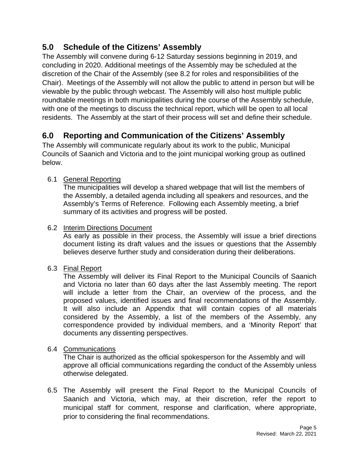# **5.0 Schedule of the Citizens' Assembly**

The Assembly will convene during 6-12 Saturday sessions beginning in 2019, and concluding in 2020. Additional meetings of the Assembly may be scheduled at the discretion of the Chair of the Assembly (see 8.2 for roles and responsibilities of the Chair). Meetings of the Assembly will not allow the public to attend in person but will be viewable by the public through webcast. The Assembly will also host multiple public roundtable meetings in both municipalities during the course of the Assembly schedule, with one of the meetings to discuss the technical report, which will be open to all local residents. The Assembly at the start of their process will set and define their schedule.

# **6.0 Reporting and Communication of the Citizens' Assembly**

The Assembly will communicate regularly about its work to the public, Municipal Councils of Saanich and Victoria and to the joint municipal working group as outlined below.

#### 6.1General Reporting

 The municipalities will develop a shared webpage that will list the members of the Assembly, a detailed agenda including all speakers and resources, and the Assembly's Terms of Reference. Following each Assembly meeting, a brief summary of its activities and progress will be posted.

#### 6.2Interim Directions Document

 As early as possible in their process, the Assembly will issue a brief directions document listing its draft values and the issues or questions that the Assembly believes deserve further study and consideration during their deliberations.

#### 6.3Final Report

 The Assembly will deliver its Final Report to the Municipal Councils of Saanich and Victoria no later than 60 days after the last Assembly meeting. The report will include a letter from the Chair, an overview of the process, and the proposed values, identified issues and final recommendations of the Assembly. It will also include an Appendix that will contain copies of all materials considered by the Assembly, a list of the members of the Assembly, any correspondence provided by individual members, and a 'Minority Report' that documents any dissenting perspectives.

#### 6.4Communications

 The Chair is authorized as the official spokesperson for the Assembly and will approve all official communications regarding the conduct of the Assembly unless otherwise delegated.

6.5 The Assembly will present the Final Report to the Municipal Councils of Saanich and Victoria, which may, at their discretion, refer the report to municipal staff for comment, response and clarification, where appropriate, prior to considering the final recommendations.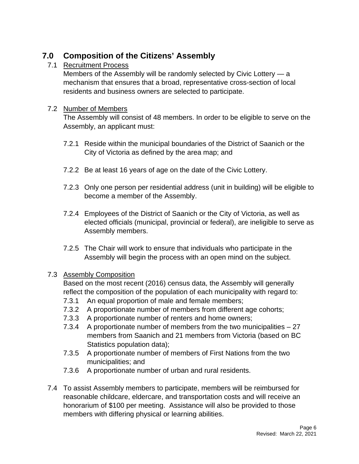# **7.0 Composition of the Citizens' Assembly**

#### 7.1Recruitment Process

 Members of the Assembly will be randomly selected by Civic Lottery — a mechanism that ensures that a broad, representative cross-section of local residents and business owners are selected to participate.

#### 7.2Number of Members

The Assembly will consist of 48 members. In order to be eligible to serve on the Assembly, an applicant must:

- 7.2.1 Reside within the municipal boundaries of the District of Saanich or the City of Victoria as defined by the area map; and
- 7.2.2 Be at least 16 years of age on the date of the Civic Lottery.
- 7.2.3 Only one person per residential address (unit in building) will be eligible to become a member of the Assembly.
- 7.2.4 Employees of the District of Saanich or the City of Victoria, as well as elected officials (municipal, provincial or federal), are ineligible to serve as Assembly members.
- 7.2.5 The Chair will work to ensure that individuals who participate in the Assembly will begin the process with an open mind on the subject.

#### 7.3Assembly Composition

 Based on the most recent (2016) census data, the Assembly will generally reflect the composition of the population of each municipality with regard to:

- 7.3.1 An equal proportion of male and female members;
- 7.3.2 A proportionate number of members from different age cohorts;
- 7.3.3 A proportionate number of renters and home owners;
- 7.3.4 A proportionate number of members from the two municipalities 27 members from Saanich and 21 members from Victoria (based on BC Statistics population data);
- 7.3.5 A proportionate number of members of First Nations from the two municipalities; and
- 7.3.6 A proportionate number of urban and rural residents.
- 7.4 To assist Assembly members to participate, members will be reimbursed for reasonable childcare, eldercare, and transportation costs and will receive an honorarium of \$100 per meeting. Assistance will also be provided to those members with differing physical or learning abilities.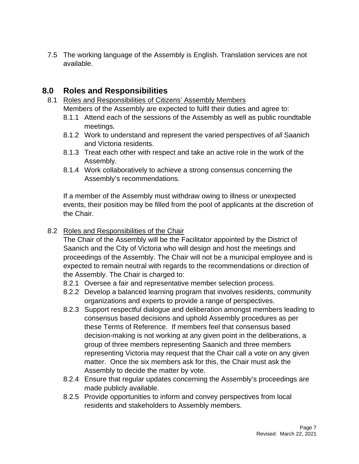7.5 The working language of the Assembly is English. Translation services are not available.

## **8.0 Roles and Responsibilities**

- 8.1 Roles and Responsibilities of Citizens' Assembly Members Members of the Assembly are expected to fulfil their duties and agree to:
	- 8.1.1 Attend each of the sessions of the Assembly as well as public roundtable meetings.
	- 8.1.2 Work to understand and represent the varied perspectives of *all* Saanich and Victoria residents.
	- 8.1.3 Treat each other with respect and take an active role in the work of the Assembly.
	- 8.1.4 Work collaboratively to achieve a strong consensus concerning the Assembly's recommendations.

 If a member of the Assembly must withdraw owing to illness or unexpected events, their position may be filled from the pool of applicants at the discretion of the Chair.

#### 8.2Roles and Responsibilities of the Chair

 The Chair of the Assembly will be the Facilitator appointed by the District of Saanich and the City of Victoria who will design and host the meetings and proceedings of the Assembly. The Chair will not be a municipal employee and is expected to remain neutral with regards to the recommendations or direction of the Assembly. The Chair is charged to:

- 8.2.1 Oversee a fair and representative member selection process.
- 8.2.2 Develop a balanced learning program that involves residents, community organizations and experts to provide a range of perspectives.
- 8.2.3 Support respectful dialogue and deliberation amongst members leading to consensus based decisions and uphold Assembly procedures as per these Terms of Reference. If members feel that consensus based decision-making is not working at any given point in the deliberations, a group of three members representing Saanich and three members representing Victoria may request that the Chair call a vote on any given matter. Once the six members ask for this, the Chair must ask the Assembly to decide the matter by vote.
- 8.2.4 Ensure that regular updates concerning the Assembly's proceedings are made publicly available.
- 8.2.5 Provide opportunities to inform and convey perspectives from local residents and stakeholders to Assembly members.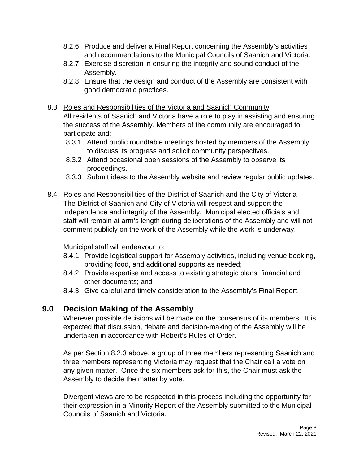- 8.2.6 Produce and deliver a Final Report concerning the Assembly's activities and recommendations to the Municipal Councils of Saanich and Victoria.
- 8.2.7 Exercise discretion in ensuring the integrity and sound conduct of the Assembly.
- 8.2.8 Ensure that the design and conduct of the Assembly are consistent with good democratic practices.
- 8.3 Roles and Responsibilities of the Victoria and Saanich Community All residents of Saanich and Victoria have a role to play in assisting and ensuring the success of the Assembly. Members of the community are encouraged to participate and:
	- 8.3.1 Attend public roundtable meetings hosted by members of the Assembly to discuss its progress and solicit community perspectives.
	- 8.3.2 Attend occasional open sessions of the Assembly to observe its proceedings.
	- 8.3.3 Submit ideas to the Assembly website and review regular public updates.
- 8.4 Roles and Responsibilities of the District of Saanich and the City of Victoria The District of Saanich and City of Victoria will respect and support the independence and integrity of the Assembly. Municipal elected officials and staff will remain at arm's length during deliberations of the Assembly and will not comment publicly on the work of the Assembly while the work is underway.

Municipal staff will endeavour to:

- 8.4.1 Provide logistical support for Assembly activities, including venue booking, providing food, and additional supports as needed;
- 8.4.2 Provide expertise and access to existing strategic plans, financial and other documents; and
- 8.4.3 Give careful and timely consideration to the Assembly's Final Report.

## **9.0 Decision Making of the Assembly**

 Wherever possible decisions will be made on the consensus of its members. It is expected that discussion, debate and decision-making of the Assembly will be undertaken in accordance with Robert's Rules of Order.

 As per Section 8.2.3 above, a group of three members representing Saanich and three members representing Victoria may request that the Chair call a vote on any given matter. Once the six members ask for this, the Chair must ask the Assembly to decide the matter by vote.

 Divergent views are to be respected in this process including the opportunity for their expression in a Minority Report of the Assembly submitted to the Municipal Councils of Saanich and Victoria.